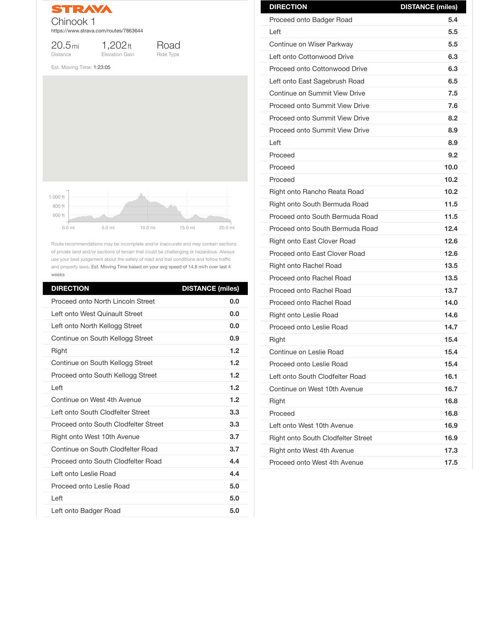

20.5mi Distance

1,202ft



Elevation Gain

Road Ride Type

Est. Moving Time: 1:23:05

Route recommendations may be incomplete and/or inaccurate and may contain sections of private land and/or sections of terrain that could be challenging or hazardous. Always use your best judgement about the safety of road and trail conditions and follow traffic and property laws. Est. Moving Time based on your avg speed of 14.8 mi/h over last 4 weeks

| <b>DIRECTION</b>                          | <b>DISTANCE (miles)</b> |
|-------------------------------------------|-------------------------|
| <b>Proceed onto North Lincoln Street</b>  | 0.0                     |
| Left onto West Quinault Street            | 0.0                     |
| Left onto North Kellogg Street            | 0.0                     |
| Continue on South Kellogg Street          | 0.9                     |
| <b>Right</b>                              | 1.2                     |
| Continue on South Kellogg Street          | 1.2                     |
| Proceed onto South Kellogg Street         | 1.2                     |
| Left                                      | 1.2                     |
| Continue on West 4th Avenue               | 1.2                     |
| Left onto South Clodfelter Street         | 3.3                     |
| Proceed onto South Clodfelter Street      | 3.3                     |
| <b>Right onto West 10th Avenue</b>        | 3.7                     |
| Continue on South Clodfelter Road         | 3.7                     |
| <b>Proceed onto South Clodfelter Road</b> | 4.4                     |
| Left onto Leslie Road                     | 4.4                     |
| <b>Proceed onto Leslie Road</b>           | 5.0                     |
| Left                                      | 5.0                     |
| Left onto Badger Road                     | 5.0                     |



| <b>DIRECTION</b>                      | <b>DISTANCE (miles)</b> |
|---------------------------------------|-------------------------|
| <b>Proceed onto Badger Road</b>       | 5.4                     |
| Left                                  | 5.5                     |
| Continue on Wiser Parkway             | 5.5                     |
| Left onto Cottonwood Drive            | 6.3                     |
| <b>Proceed onto Cottonwood Drive</b>  | 6.3                     |
| Left onto East Sagebrush Road         | 6.5                     |
| <b>Continue on Summit View Drive</b>  | 7.5                     |
| <b>Proceed onto Summit View Drive</b> | 7.6                     |
| <b>Proceed onto Summit View Drive</b> | 8.2                     |
| <b>Proceed onto Summit View Drive</b> | 8.9                     |
| Left                                  | 8.9                     |
| Proceed                               | 9.2                     |
| Proceed                               | 10.0                    |
| Proceed                               | 10.2                    |
| Right onto Rancho Reata Road          | 10.2                    |
| <b>Right onto South Bermuda Road</b>  | 11.5                    |
| Proceed onto South Bermuda Road       | 11.5                    |
| Proceed onto South Bermuda Road       | 12.4                    |
| <b>Right onto East Clover Road</b>    | 12.6                    |
| <b>Proceed onto East Clover Road</b>  | 12.6                    |
| <b>Right onto Rachel Road</b>         | 13.5                    |
| <b>Proceed onto Rachel Road</b>       | 13.5                    |
| <b>Proceed onto Rachel Road</b>       | 13.7                    |
| <b>Proceed onto Rachel Road</b>       | 14.0                    |
| <b>Right onto Leslie Road</b>         | 14.6                    |
| <b>Proceed onto Leslie Road</b>       | 14.7                    |
| Right                                 | 15.4                    |
| <b>Continue on Leslie Road</b>        | 15.4                    |
| <b>Proceed onto Leslie Road</b>       | 15.4                    |
| Left onto South Clodfelter Road       | 16.1                    |

| Continue on West 10th Avenue              | 16.7 |
|-------------------------------------------|------|
| <b>Right</b>                              | 16.8 |
| Proceed                                   | 16.8 |
| Left onto West 10th Avenue                | 16.9 |
| <b>Right onto South Clodfelter Street</b> | 16.9 |
| <b>Right onto West 4th Avenue</b>         | 17.3 |
| Proceed onto West 4th Avenue              | 17.5 |